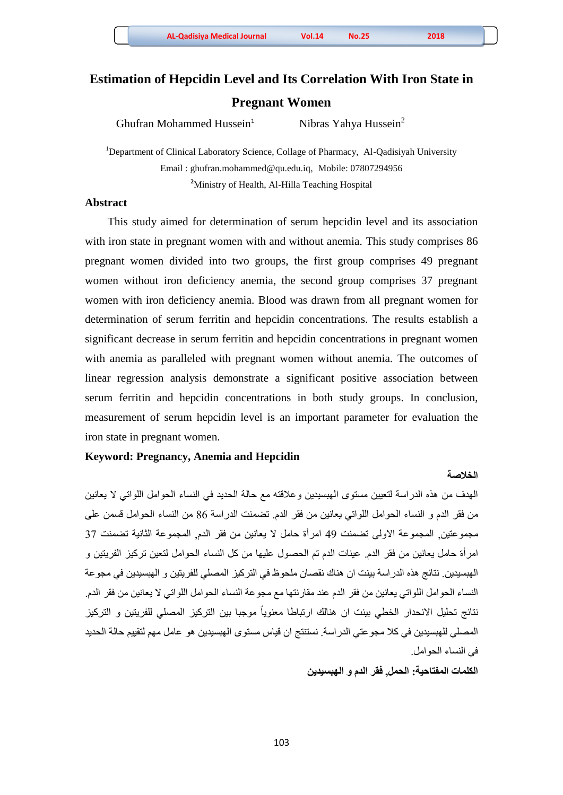Ghufran Mohammed Hussein $<sup>1</sup>$ </sup>

Nibras Yahya Hussein<sup>2</sup>

<sup>1</sup>Department of Clinical Laboratory Science, Collage of Pharmacy, Al-Qadisiyah University Email : [ghufran.mohammed@qu.edu.iq,](mailto:ghufran.mohammed@qu.edu.iq) Mobile: 07807294956 **<sup>2</sup>**Ministry of Health, Al-Hilla Teaching Hospital

# **Abstract**

 This study aimed for determination of serum hepcidin level and its association with iron state in pregnant women with and without anemia. This study comprises 86 pregnant women divided into two groups, the first group comprises 49 pregnant women without iron deficiency anemia, the second group comprises 37 pregnant women with iron deficiency anemia. Blood was drawn from all pregnant women for determination of serum ferritin and hepcidin concentrations. The results establish a significant decrease in serum ferritin and hepcidin concentrations in pregnant women with anemia as paralleled with pregnant women without anemia. The outcomes of linear regression analysis demonstrate a significant positive association between serum ferritin and hepcidin concentrations in both study groups. In conclusion, measurement of serum hepcidin level is an important parameter for evaluation the iron state in pregnant women.

## **Keyword: Pregnancy, Anemia and Hepcidin**

### **الخالصة**

الِهدف من هذه الدراسة لتعيين مستوى المُبسيدين وعلاقته مع حالة الحديد في النساء الحوامل اللواتي لا يعانين من فقر الدم و النساء الحوامل اللواتي يعانين من فقر الدم. تضمنت الدراسة 86 من النساء الحوامل قسمن علي مجمو عنين, المجموعة الأولى تضمنت 49 امر أة حامل لا يعانين من فقر الدم, المجموعة الثانية تضمنت 37 امر أة حامل يعانين من فقر الدم عينات الدم تم الحصول عليها من كل النساء الحوامل لنعين تركيز الفريتين و الِهبسيدين. نتائج هذه الدر اسة بينت ان هناك نقصان ملحوظ في التر كيز المصلي للفر يتين و الهبسيدين في مجو عة النساء الحوامل اللواتي يعانين من فقر الدم عند مقارنتها مع مجوعة النساء الحوامل اللواتي لا يعانين من فقر الدم. نتائج تحليل الانحدار الخطي بينت ان هنالك ارتباطا معنوياً موجبا بين التركيز المصلي للفريتين و التركيز المصلي للهبسيدين في كلا مجوعتي الدراسة. نستنتج ان قياس مستوى الهبسيدين هو عامل مهم لتقييم حالة الحديد في النساء الحو امل.

## **الكلمات المفتاحية: الحمل, فقر الدم و الهبسيدين**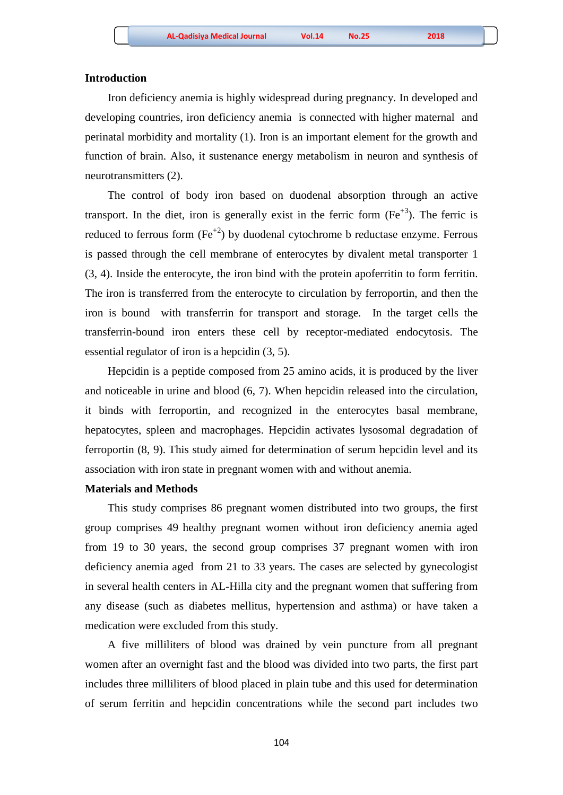### **Introduction**

 Iron deficiency anemia is highly widespread during pregnancy. In developed and developing countries, iron deficiency anemia is connected with higher maternal and perinatal morbidity and mortality (1). Iron is an important element for the growth and function of brain. Also, it sustenance energy metabolism in neuron and synthesis of neurotransmitters (2).

 The control of body iron based on duodenal absorption through an active transport. In the diet, iron is generally exist in the ferric form  $(Fe^{+3})$ . The ferric is reduced to ferrous form  $(Fe^{2})$  by duodenal cytochrome b reductase enzyme. Ferrous is passed through the cell membrane of enterocytes by divalent metal transporter 1 (3, 4). Inside the enterocyte, the iron bind with the protein apoferritin to form ferritin. The iron is transferred from the enterocyte to circulation by ferroportin, and then the iron is bound with transferrin for transport and storage. In the target cells the transferrin-bound iron enters these cell by receptor-mediated endocytosis. The essential regulator of iron is a hepcidin (3, 5).

 Hepcidin is a peptide composed from 25 amino acids, it is produced by the liver and noticeable in urine and blood (6, 7). When hepcidin released into the circulation, it binds with ferroportin, and recognized in the enterocytes basal membrane, hepatocytes, spleen and macrophages. Hepcidin activates lysosomal degradation of ferroportin (8, 9). This study aimed for determination of serum hepcidin level and its association with iron state in pregnant women with and without anemia.

#### **Materials and Methods**

This study comprises 86 pregnant women distributed into two groups, the first group comprises 49 healthy pregnant women without iron deficiency anemia aged from 19 to 30 years, the second group comprises 37 pregnant women with iron deficiency anemia aged from 21 to 33 years. The cases are selected by gynecologist in several health centers in AL-Hilla city and the pregnant women that suffering from any disease (such as diabetes mellitus, hypertension and asthma) or have taken a medication were excluded from this study.

 A five milliliters of blood was drained by vein puncture from all pregnant women after an overnight fast and the blood was divided into two parts, the first part includes three milliliters of blood placed in plain tube and this used for determination of serum ferritin and hepcidin concentrations while the second part includes two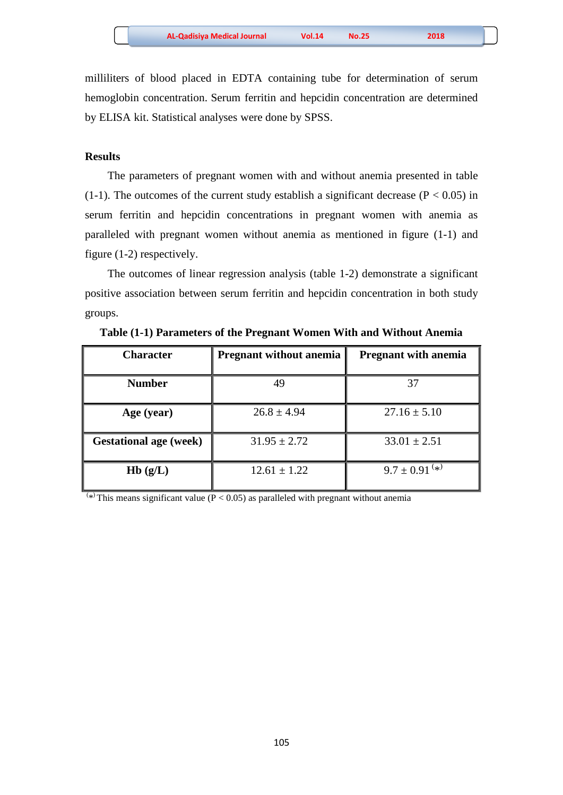milliliters of blood placed in EDTA containing tube for determination of serum hemoglobin concentration. Serum ferritin and hepcidin concentration are determined by ELISA kit. Statistical analyses were done by SPSS.

## **Results**

 The parameters of pregnant women with and without anemia presented in table (1-1). The outcomes of the current study establish a significant decrease ( $P < 0.05$ ) in serum ferritin and hepcidin concentrations in pregnant women with anemia as paralleled with pregnant women without anemia as mentioned in figure (1-1) and figure (1-2) respectively.

 The outcomes of linear regression analysis (table 1-2) demonstrate a significant positive association between serum ferritin and hepcidin concentration in both study groups.

| <b>Character</b>              | <b>Pregnant without anemia</b> | <b>Pregnant with anemia</b> |  |  |
|-------------------------------|--------------------------------|-----------------------------|--|--|
| <b>Number</b>                 | 49                             | 37                          |  |  |
| Age (year)                    | $26.8 \pm 4.94$                | $27.16 \pm 5.10$            |  |  |
| <b>Gestational age (week)</b> | $31.95 \pm 2.72$               | $33.01 \pm 2.51$            |  |  |
| Hb(g/L)                       | $12.61 \pm 1.22$               | $9.7 \pm 0.91^{(*)}$        |  |  |

**Table (1-1) Parameters of the Pregnant Women With and Without Anemia**

 $(\ast)$  This means significant value ( $\overline{P}$  < 0.05) as paralleled with pregnant without anemia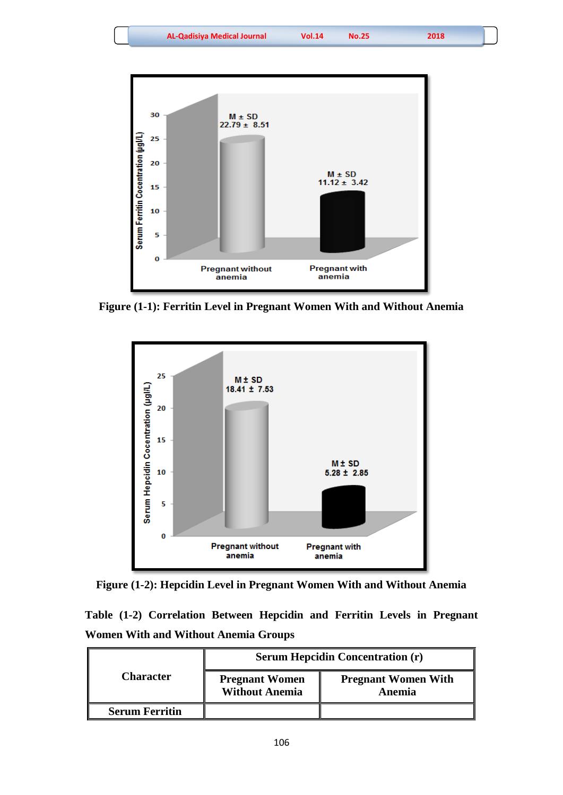

**Figure (1-1): Ferritin Level in Pregnant Women With and Without Anemia**



**Figure (1-2): Hepcidin Level in Pregnant Women With and Without Anemia**

|  | Table (1-2) Correlation Between Hepcidin and Ferritin Levels in Pregnant |  |  |  |  |
|--|--------------------------------------------------------------------------|--|--|--|--|
|  | <b>Women With and Without Anemia Groups</b>                              |  |  |  |  |

|                       | <b>Serum Hepcidin Concentration (r)</b>        |                                      |  |  |
|-----------------------|------------------------------------------------|--------------------------------------|--|--|
| Character             | <b>Pregnant Women</b><br><b>Without Anemia</b> | <b>Pregnant Women With</b><br>Anemia |  |  |
| <b>Serum Ferritin</b> |                                                |                                      |  |  |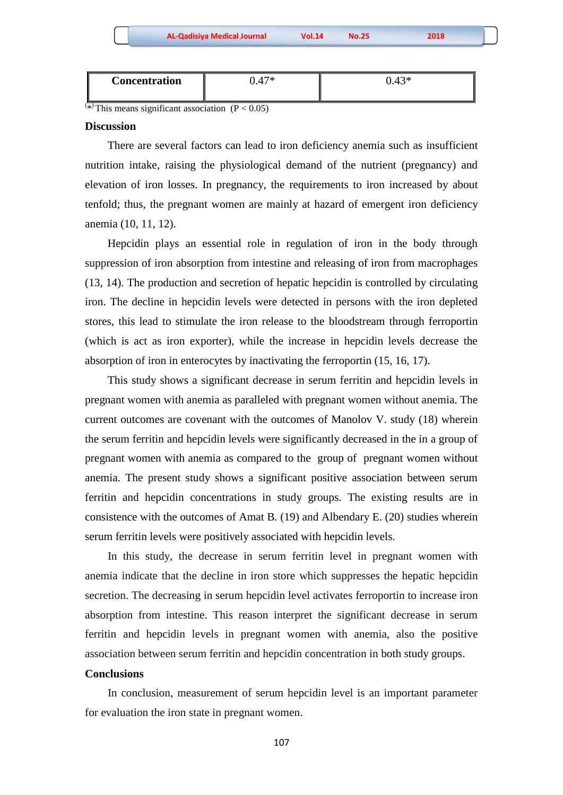| and the state of the state of the state of the state of the state of the state of the state of the state of th |  |  |
|----------------------------------------------------------------------------------------------------------------|--|--|
|                                                                                                                |  |  |
|                                                                                                                |  |  |
|                                                                                                                |  |  |
|                                                                                                                |  |  |
|                                                                                                                |  |  |
|                                                                                                                |  |  |
|                                                                                                                |  |  |
|                                                                                                                |  |  |
|                                                                                                                |  |  |
|                                                                                                                |  |  |
|                                                                                                                |  |  |
|                                                                                                                |  |  |
|                                                                                                                |  |  |
|                                                                                                                |  |  |
|                                                                                                                |  |  |
|                                                                                                                |  |  |
|                                                                                                                |  |  |
|                                                                                                                |  |  |
|                                                                                                                |  |  |
|                                                                                                                |  |  |
|                                                                                                                |  |  |
|                                                                                                                |  |  |
|                                                                                                                |  |  |
|                                                                                                                |  |  |
|                                                                                                                |  |  |

| -<br>Concentration | $\sim$ | ר ו |
|--------------------|--------|-----|
|                    |        |     |

 $\sqrt{x}$  This means significant association (P < 0.05)

### **Discussion**

 There are several factors can lead to iron deficiency anemia such as insufficient nutrition intake, raising the physiological demand of the nutrient (pregnancy) and elevation of iron losses. In pregnancy, the requirements to iron increased by about tenfold; thus, the pregnant women are mainly at hazard of emergent iron deficiency anemia (10, 11, 12).

 Hepcidin plays an essential role in regulation of iron in the body through suppression of iron absorption from intestine and releasing of iron from macrophages (13, 14). The production and secretion of hepatic hepcidin is controlled by circulating iron. The decline in hepcidin levels were detected in persons with the iron depleted stores, this lead to stimulate the iron release to the bloodstream through ferroportin (which is act as iron exporter), while the increase in hepcidin levels decrease the absorption of iron in enterocytes by inactivating the ferroportin (15, 16, 17).

 This study shows a significant decrease in serum ferritin and hepcidin levels in pregnant women with anemia as paralleled with pregnant women without anemia. The current outcomes are covenant with the outcomes of Manolov V. study (18) wherein the serum ferritin and hepcidin levels were significantly decreased in the in a group of pregnant women with anemia as compared to the group of pregnant women without anemia. The present study shows a significant positive association between serum ferritin and hepcidin concentrations in study groups. The existing results are in consistence with the outcomes of Amat B*.* (19) and Albendary E. (20) studies wherein serum ferritin levels were positively associated with hepcidin levels.

 In this study, the decrease in serum ferritin level in pregnant women with anemia indicate that the decline in iron store which suppresses the hepatic hepcidin secretion. The decreasing in serum hepcidin level activates ferroportin to increase iron absorption from intestine. This reason interpret the significant decrease in serum ferritin and hepcidin levels in pregnant women with anemia, also the positive association between serum ferritin and hepcidin concentration in both study groups.

#### **Conclusions**

 In conclusion, measurement of serum hepcidin level is an important parameter for evaluation the iron state in pregnant women.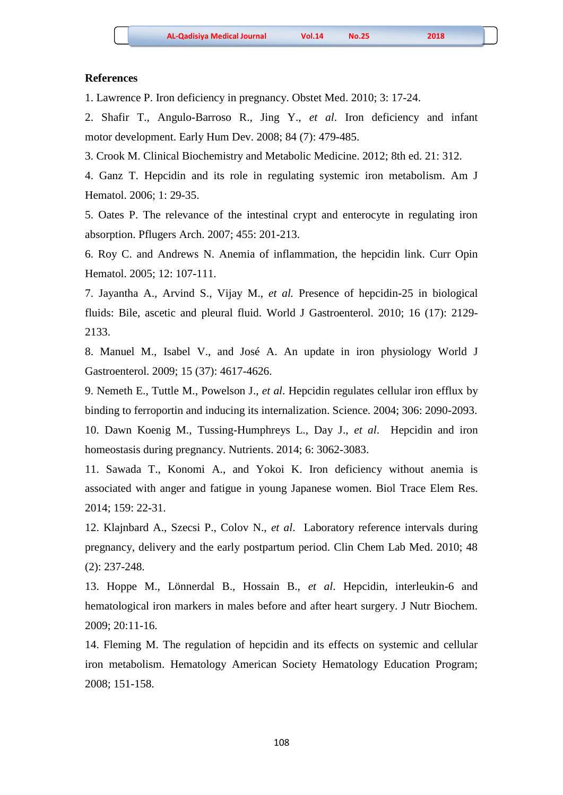#### **References**

1. Lawrence P. Iron deficiency in pregnancy. Obstet Med. 2010; 3: 17-24.

2. Shafir T., Angulo-Barroso R., Jing Y., *et al*. Iron deficiency and infant motor development. Early Hum Dev. 2008; 84 (7): 479-485.

3. Crook M. Clinical Biochemistry and Metabolic Medicine. 2012; 8th ed. 21: 312.

4. Ganz T. Hepcidin and its role in regulating systemic iron metabolism. Am J Hematol. 2006; 1: 29-35.

5. Oates P. The relevance of the intestinal crypt and enterocyte in regulating iron absorption. Pflugers Arch. 2007; 455: 201-213.

6. Roy C. and Andrews N. Anemia of inflammation, the hepcidin link. Curr Opin Hematol. 2005; 12: 107-111.

7. Jayantha A., Arvind S., Vijay M., *et al.* Presence of hepcidin-25 in biological fluids: Bile, ascetic and pleural fluid. World J Gastroenterol. 2010; 16 (17): 2129- 2133.

8. Manuel M., Isabel V., and José A. An update in iron physiology World J Gastroenterol. 2009; 15 (37): 4617-4626.

9. Nemeth E., Tuttle M., Powelson J., *et al*. Hepcidin regulates cellular iron efflux by binding to ferroportin and inducing its internalization. Science. 2004; 306: 2090-2093.

10. Dawn Koenig M., Tussing-Humphreys L., Day J., *et al*. Hepcidin and iron homeostasis during pregnancy. Nutrients. 2014; 6: 3062-3083.

11. Sawada T., Konomi A., and Yokoi K. Iron deficiency without anemia is associated with anger and fatigue in young Japanese women. Biol Trace Elem Res. 2014; 159: 22-31.

12. Klajnbard A., Szecsi P., Colov N., *et al*. Laboratory reference intervals during pregnancy, delivery and the early postpartum period. Clin Chem Lab Med. 2010; 48 (2): 237-248.

13. Hoppe M., Lönnerdal B., Hossain B., *et al*. Hepcidin, interleukin-6 and hematological iron markers in males before and after heart surgery. J Nutr Biochem. 2009; 20:11-16.

14. Fleming M. The regulation of hepcidin and its effects on systemic and cellular iron metabolism. Hematology American Society Hematology Education Program; 2008; 151-158.